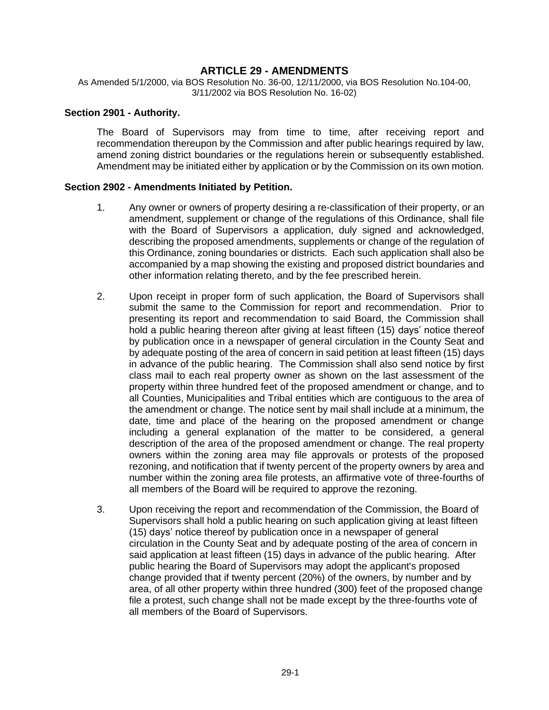## **ARTICLE 29 - AMENDMENTS**

As Amended 5/1/2000, via BOS Resolution No. 36-00, 12/11/2000, via BOS Resolution No.104-00, 3/11/2002 via BOS Resolution No. 16-02)

#### **Section 2901 - Authority.**

The Board of Supervisors may from time to time, after receiving report and recommendation thereupon by the Commission and after public hearings required by law, amend zoning district boundaries or the regulations herein or subsequently established. Amendment may be initiated either by application or by the Commission on its own motion.

#### **Section 2902 - Amendments Initiated by Petition.**

- 1. Any owner or owners of property desiring a re-classification of their property, or an amendment, supplement or change of the regulations of this Ordinance, shall file with the Board of Supervisors a application, duly signed and acknowledged, describing the proposed amendments, supplements or change of the regulation of this Ordinance, zoning boundaries or districts. Each such application shall also be accompanied by a map showing the existing and proposed district boundaries and other information relating thereto, and by the fee prescribed herein.
- 2. Upon receipt in proper form of such application, the Board of Supervisors shall submit the same to the Commission for report and recommendation. Prior to presenting its report and recommendation to said Board, the Commission shall hold a public hearing thereon after giving at least fifteen (15) days' notice thereof by publication once in a newspaper of general circulation in the County Seat and by adequate posting of the area of concern in said petition at least fifteen (15) days in advance of the public hearing. The Commission shall also send notice by first class mail to each real property owner as shown on the last assessment of the property within three hundred feet of the proposed amendment or change, and to all Counties, Municipalities and Tribal entities which are contiguous to the area of the amendment or change. The notice sent by mail shall include at a minimum, the date, time and place of the hearing on the proposed amendment or change including a general explanation of the matter to be considered, a general description of the area of the proposed amendment or change. The real property owners within the zoning area may file approvals or protests of the proposed rezoning, and notification that if twenty percent of the property owners by area and number within the zoning area file protests, an affirmative vote of three-fourths of all members of the Board will be required to approve the rezoning.
- 3. Upon receiving the report and recommendation of the Commission, the Board of Supervisors shall hold a public hearing on such application giving at least fifteen (15) days' notice thereof by publication once in a newspaper of general circulation in the County Seat and by adequate posting of the area of concern in said application at least fifteen (15) days in advance of the public hearing. After public hearing the Board of Supervisors may adopt the applicant's proposed change provided that if twenty percent (20%) of the owners, by number and by area, of all other property within three hundred (300) feet of the proposed change file a protest, such change shall not be made except by the three-fourths vote of all members of the Board of Supervisors.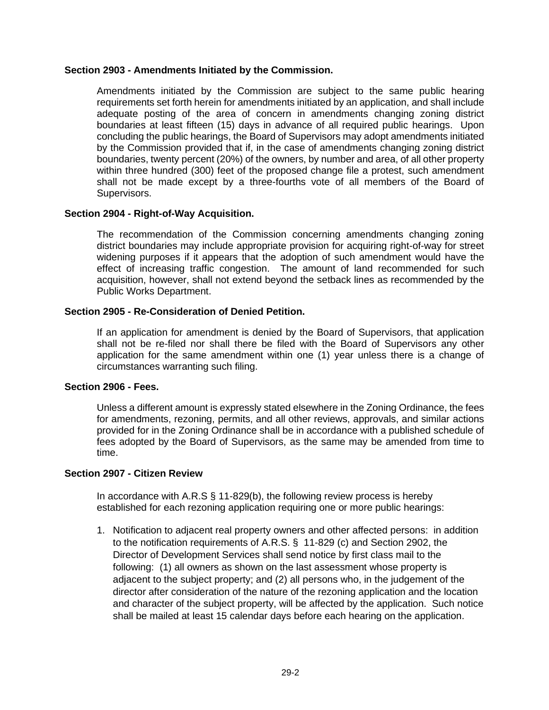### **Section 2903 - Amendments Initiated by the Commission.**

Amendments initiated by the Commission are subject to the same public hearing requirements set forth herein for amendments initiated by an application, and shall include adequate posting of the area of concern in amendments changing zoning district boundaries at least fifteen (15) days in advance of all required public hearings. Upon concluding the public hearings, the Board of Supervisors may adopt amendments initiated by the Commission provided that if, in the case of amendments changing zoning district boundaries, twenty percent (20%) of the owners, by number and area, of all other property within three hundred (300) feet of the proposed change file a protest, such amendment shall not be made except by a three-fourths vote of all members of the Board of Supervisors.

## **Section 2904 - Right-of-Way Acquisition.**

The recommendation of the Commission concerning amendments changing zoning district boundaries may include appropriate provision for acquiring right-of-way for street widening purposes if it appears that the adoption of such amendment would have the effect of increasing traffic congestion. The amount of land recommended for such acquisition, however, shall not extend beyond the setback lines as recommended by the Public Works Department.

## **Section 2905 - Re-Consideration of Denied Petition.**

If an application for amendment is denied by the Board of Supervisors, that application shall not be re-filed nor shall there be filed with the Board of Supervisors any other application for the same amendment within one (1) year unless there is a change of circumstances warranting such filing.

#### **Section 2906 - Fees.**

Unless a different amount is expressly stated elsewhere in the Zoning Ordinance, the fees for amendments, rezoning, permits, and all other reviews, approvals, and similar actions provided for in the Zoning Ordinance shall be in accordance with a published schedule of fees adopted by the Board of Supervisors, as the same may be amended from time to time.

## **Section 2907 - Citizen Review**

In accordance with A.R.S § 11-829(b), the following review process is hereby established for each rezoning application requiring one or more public hearings:

1. Notification to adjacent real property owners and other affected persons: in addition to the notification requirements of A.R.S. § 11-829 (c) and Section 2902, the Director of Development Services shall send notice by first class mail to the following: (1) all owners as shown on the last assessment whose property is adjacent to the subject property; and (2) all persons who, in the judgement of the director after consideration of the nature of the rezoning application and the location and character of the subject property, will be affected by the application. Such notice shall be mailed at least 15 calendar days before each hearing on the application.